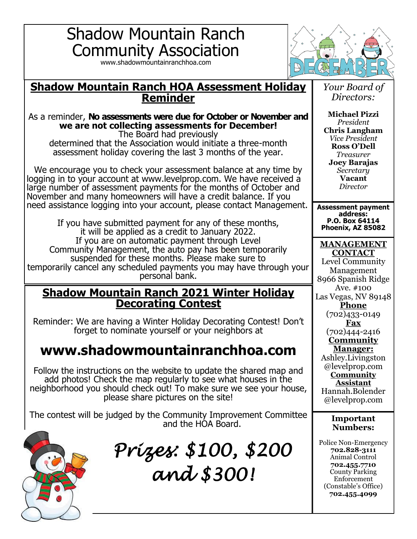# Shadow Mountain Ranch Community Association

www.shadowmountainranchhoa.com



### **Shadow Mountain Ranch HOA Assessment Holiday Reminder**

#### As a reminder, **No assessments were due for October or November and we are not collecting assessments for December!**

The Board had previously determined that the Association would initiate a three-month assessment holiday covering the last 3 months of the year.

We encourage you to check your assessment balance at any time by logging in to your account at www.levelprop.com. We have received a large number of assessment payments for the months of October and November and many homeowners will have a credit balance. If you need assistance logging into your account, please contact Management.

If you have submitted payment for any of these months, it will be applied as a credit to January 2022. If you are on automatic payment through Level Community Management, the auto pay has been temporarily suspended for these months. Please make sure to temporarily cancel any scheduled payments you may have through your personal bank.

### **Shadow Mountain Ranch 2021 Winter Holiday Decorating Contest**

Reminder: We are having a Winter Holiday Decorating Contest! Don't forget to nominate yourself or your neighbors at

# **www.shadowmountainranchhoa.com**

Follow the instructions on the website to update the shared map and add photos! Check the map regularly to see what houses in the neighborhood you should check out! To make sure we see your house, please share pictures on the site!

The contest will be judged by the Community Improvement Committee and the HOA Board.



*Prizes: \$100, \$200 and \$300!* 

*Your Board of Directors:*

**Michael Pizzi** *President* **Chris Langham** *Vice President* **Ross O'Dell** *Treasurer* **Joey Barajas** *Secretary* **Vacant** *Director*

**Assessment payment address: P.O. Box 64114 Phoenix, AZ 85082**

**MANAGEMENT CONTACT**

Level Community Management 8966 Spanish Ridge Ave. #100 Las Vegas, NV 89148 **Phone** (702)433-0149 **Fax**

(702)444-2416 **Community** 

**Manager:** Ashley.Livingston @levelprop.com **Community Assistant** Hannah.Bolender @levelprop.com

#### **Important Numbers:**

Police Non-Emergency **702.828-3111** Animal Control **702.455.7710** County Parking Enforcement (Constable's Office) **702.455.4099**